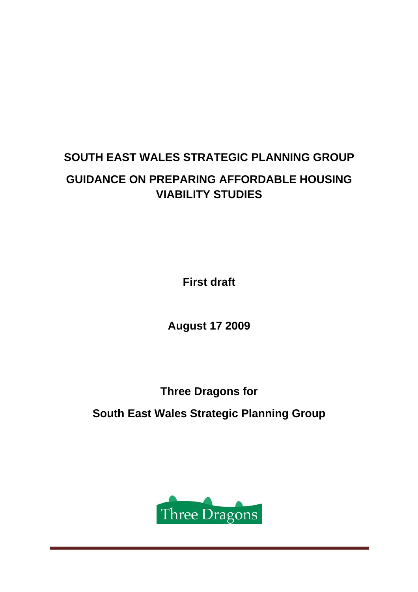# **SOUTH EAST WALES STRATEGIC PLANNING GROUP GUIDANCE ON PREPARING AFFORDABLE HOUSING VIABILITY STUDIES**

**First draft** 

**August 17 2009** 

**Three Dragons for** 

**South East Wales Strategic Planning Group** 

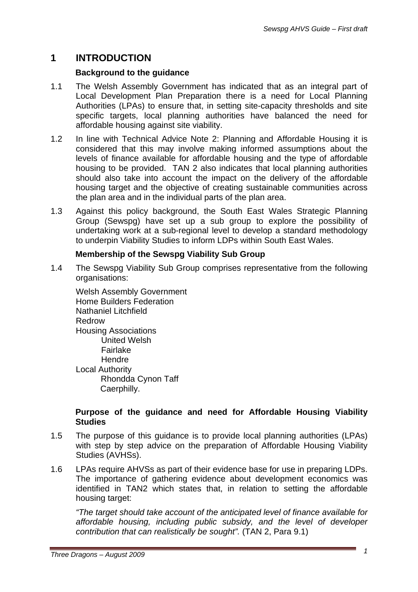# **1 INTRODUCTION**

### **Background to the guidance**

- 1.1 The Welsh Assembly Government has indicated that as an integral part of Local Development Plan Preparation there is a need for Local Planning Authorities (LPAs) to ensure that, in setting site-capacity thresholds and site specific targets, local planning authorities have balanced the need for affordable housing against site viability.
- 1.2 In line with Technical Advice Note 2: Planning and Affordable Housing it is considered that this may involve making informed assumptions about the levels of finance available for affordable housing and the type of affordable housing to be provided. TAN 2 also indicates that local planning authorities should also take into account the impact on the delivery of the affordable housing target and the objective of creating sustainable communities across the plan area and in the individual parts of the plan area.
- 1.3 Against this policy background, the South East Wales Strategic Planning Group (Sewspg) have set up a sub group to explore the possibility of undertaking work at a sub-regional level to develop a standard methodology to underpin Viability Studies to inform LDPs within South East Wales.

### **Membership of the Sewspg Viability Sub Group**

1.4 The Sewspg Viability Sub Group comprises representative from the following organisations:

Welsh Assembly Government Home Builders Federation Nathaniel Litchfield Redrow Housing Associations United Welsh Fairlake Hendre Local Authority Rhondda Cynon Taff Caerphilly.

#### **Purpose of the guidance and need for Affordable Housing Viability Studies**

- 1.5 The purpose of this guidance is to provide local planning authorities (LPAs) with step by step advice on the preparation of Affordable Housing Viability Studies (AVHSs).
- 1.6 LPAs require AHVSs as part of their evidence base for use in preparing LDPs. The importance of gathering evidence about development economics was identified in TAN2 which states that, in relation to setting the affordable housing target:

*"The target should take account of the anticipated level of finance available for affordable housing, including public subsidy, and the level of developer contribution that can realistically be sought".* (TAN 2, Para 9.1)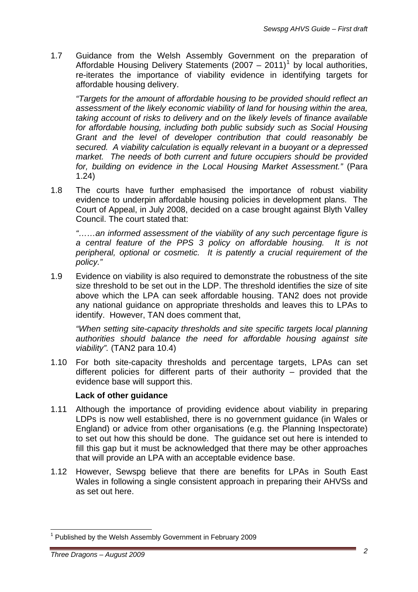1.7 Guidance from the Welsh Assembly Government on the preparation of Affordable Housing Delivery Statements  $(2007 - 2011)^{1}$  $(2007 - 2011)^{1}$  $(2007 - 2011)^{1}$  by local authorities, re-iterates the importance of viability evidence in identifying targets for affordable housing delivery.

*"Targets for the amount of affordable housing to be provided should reflect an assessment of the likely economic viability of land for housing within the area, taking account of risks to delivery and on the likely levels of finance available for affordable housing, including both public subsidy such as Social Housing Grant and the level of developer contribution that could reasonably be secured. A viability calculation is equally relevant in a buoyant or a depressed market. The needs of both current and future occupiers should be provided for, building on evidence in the Local Housing Market Assessment."* (Para 1.24)

1.8 The courts have further emphasised the importance of robust viability evidence to underpin affordable housing policies in development plans. The Court of Appeal, in July 2008, decided on a case brought against Blyth Valley Council. The court stated that:

*"……an informed assessment of the viability of any such percentage figure is a central feature of the PPS 3 policy on affordable housing. It is not peripheral, optional or cosmetic. It is patently a crucial requirement of the policy."* 

1.9 Evidence on viability is also required to demonstrate the robustness of the site size threshold to be set out in the LDP. The threshold identifies the size of site above which the LPA can seek affordable housing. TAN2 does not provide any national guidance on appropriate thresholds and leaves this to LPAs to identify. However, TAN does comment that,

*"When setting site-capacity thresholds and site specific targets local planning authorities should balance the need for affordable housing against site viability".* (TAN2 para 10.4)

1.10 For both site-capacity thresholds and percentage targets, LPAs can set different policies for different parts of their authority – provided that the evidence base will support this.

#### **Lack of other guidance**

- 1.11 Although the importance of providing evidence about viability in preparing LDPs is now well established, there is no government guidance (in Wales or England) or advice from other organisations (e.g. the Planning Inspectorate) to set out how this should be done. The guidance set out here is intended to fill this gap but it must be acknowledged that there may be other approaches that will provide an LPA with an acceptable evidence base.
- 1.12 However, Sewspg believe that there are benefits for LPAs in South East Wales in following a single consistent approach in preparing their AHVSs and as set out here.

 $\overline{a}$ 

<span id="page-2-0"></span><sup>&</sup>lt;sup>1</sup> Published by the Welsh Assembly Government in February 2009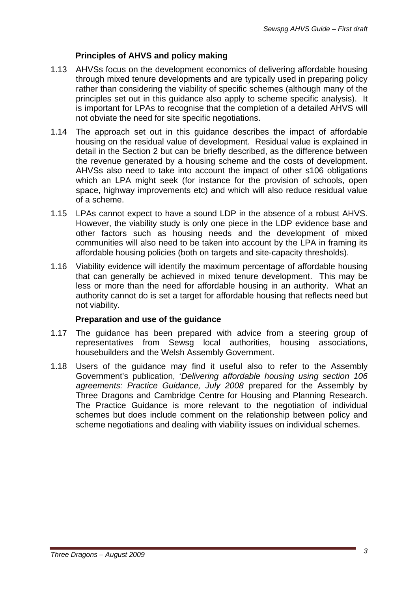# **Principles of AHVS and policy making**

- 1.13 AHVSs focus on the development economics of delivering affordable housing through mixed tenure developments and are typically used in preparing policy rather than considering the viability of specific schemes (although many of the principles set out in this guidance also apply to scheme specific analysis). It is important for LPAs to recognise that the completion of a detailed AHVS will not obviate the need for site specific negotiations.
- 1.14 The approach set out in this guidance describes the impact of affordable housing on the residual value of development. Residual value is explained in detail in the Section 2 but can be briefly described, as the difference between the revenue generated by a housing scheme and the costs of development. AHVSs also need to take into account the impact of other s106 obligations which an LPA might seek (for instance for the provision of schools, open space, highway improvements etc) and which will also reduce residual value of a scheme.
- 1.15 LPAs cannot expect to have a sound LDP in the absence of a robust AHVS. However, the viability study is only one piece in the LDP evidence base and other factors such as housing needs and the development of mixed communities will also need to be taken into account by the LPA in framing its affordable housing policies (both on targets and site-capacity thresholds).
- 1.16 Viability evidence will identify the maximum percentage of affordable housing that can generally be achieved in mixed tenure development. This may be less or more than the need for affordable housing in an authority. What an authority cannot do is set a target for affordable housing that reflects need but not viability.

# **Preparation and use of the guidance**

- 1.17 The guidance has been prepared with advice from a steering group of representatives from Sewsg local authorities, housing associations, housebuilders and the Welsh Assembly Government.
- 1.18 Users of the guidance may find it useful also to refer to the Assembly Government's publication, '*Delivering affordable housing using section 106 agreements: Practice Guidance, July 2008* prepared for the Assembly by Three Dragons and Cambridge Centre for Housing and Planning Research. The Practice Guidance is more relevant to the negotiation of individual schemes but does include comment on the relationship between policy and scheme negotiations and dealing with viability issues on individual schemes.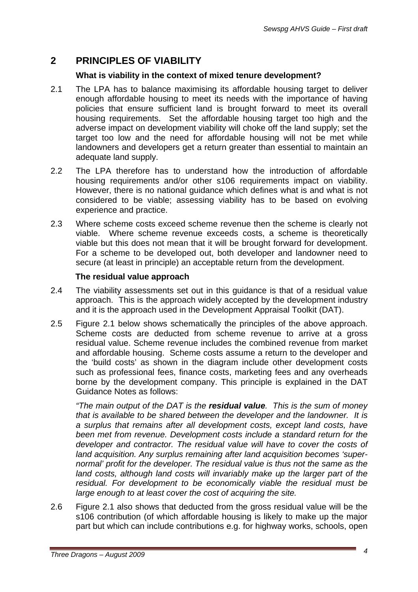# **2 PRINCIPLES OF VIABILITY**

### **What is viability in the context of mixed tenure development?**

- 2.1 The LPA has to balance maximising its affordable housing target to deliver enough affordable housing to meet its needs with the importance of having policies that ensure sufficient land is brought forward to meet its overall housing requirements. Set the affordable housing target too high and the adverse impact on development viability will choke off the land supply; set the target too low and the need for affordable housing will not be met while landowners and developers get a return greater than essential to maintain an adequate land supply.
- 2.2 The LPA therefore has to understand how the introduction of affordable housing requirements and/or other s106 requirements impact on viability. However, there is no national guidance which defines what is and what is not considered to be viable; assessing viability has to be based on evolving experience and practice.
- 2.3 Where scheme costs exceed scheme revenue then the scheme is clearly not viable. Where scheme revenue exceeds costs, a scheme is theoretically viable but this does not mean that it will be brought forward for development. For a scheme to be developed out, both developer and landowner need to secure (at least in principle) an acceptable return from the development.

#### **The residual value approach**

- 2.4 The viability assessments set out in this guidance is that of a residual value approach. This is the approach widely accepted by the development industry and it is the approach used in the Development Appraisal Toolkit (DAT).
- 2.5 Figure 2.1 below shows schematically the principles of the above approach. Scheme costs are deducted from scheme revenue to arrive at a gross residual value. Scheme revenue includes the combined revenue from market and affordable housing. Scheme costs assume a return to the developer and the 'build costs' as shown in the diagram include other development costs such as professional fees, finance costs, marketing fees and any overheads borne by the development company. This principle is explained in the DAT Guidance Notes as follows:

*"The main output of the DAT is the residual value. This is the sum of money that is available to be shared between the developer and the landowner. It is a surplus that remains after all development costs, except land costs, have been met from revenue. Development costs include a standard return for the*  developer and contractor. The residual value will have to cover the costs of *land acquisition. Any surplus remaining after land acquisition becomes 'supernormal' profit for the developer. The residual value is thus not the same as the land costs, although land costs will invariably make up the larger part of the residual. For development to be economically viable the residual must be large enough to at least cover the cost of acquiring the site.* 

2.6 Figure 2.1 also shows that deducted from the gross residual value will be the s106 contribution (of which affordable housing is likely to make up the major part but which can include contributions e.g. for highway works, schools, open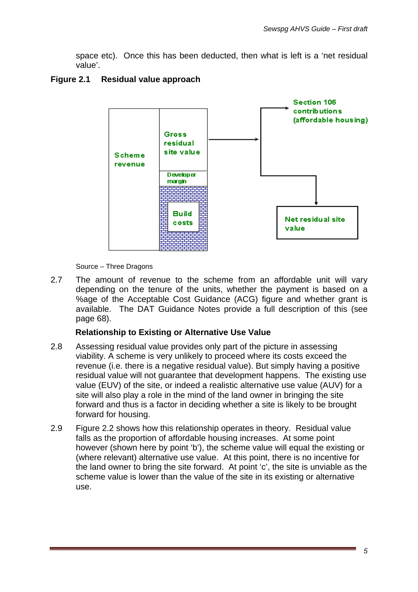space etc). Once this has been deducted, then what is left is a 'net residual value'.

### **Figure 2.1 Residual value approach**



Source – Three Dragons

2.7 The amount of revenue to the scheme from an affordable unit will vary depending on the tenure of the units, whether the payment is based on a %age of the Acceptable Cost Guidance (ACG) figure and whether grant is available. The DAT Guidance Notes provide a full description of this (see page 68).

#### **Relationship to Existing or Alternative Use Value**

- 2.8 Assessing residual value provides only part of the picture in assessing viability. A scheme is very unlikely to proceed where its costs exceed the revenue (i.e. there is a negative residual value). But simply having a positive residual value will not guarantee that development happens. The existing use value (EUV) of the site, or indeed a realistic alternative use value (AUV) for a site will also play a role in the mind of the land owner in bringing the site forward and thus is a factor in deciding whether a site is likely to be brought forward for housing.
- 2.9 Figure 2.2 shows how this relationship operates in theory. Residual value falls as the proportion of affordable housing increases. At some point however (shown here by point 'b'), the scheme value will equal the existing or (where relevant) alternative use value. At this point, there is no incentive for the land owner to bring the site forward. At point 'c', the site is unviable as the scheme value is lower than the value of the site in its existing or alternative use.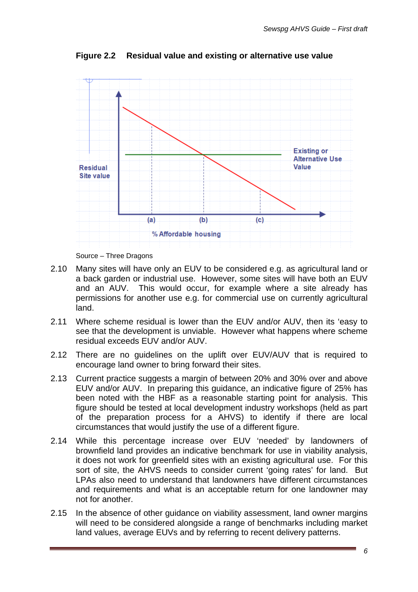

**Figure 2.2 Residual value and existing or alternative use value** 

Source – Three Dragons

- 2.10 Many sites will have only an EUV to be considered e.g. as agricultural land or a back garden or industrial use. However, some sites will have both an EUV and an AUV. This would occur, for example where a site already has permissions for another use e.g. for commercial use on currently agricultural land.
- 2.11 Where scheme residual is lower than the EUV and/or AUV, then its 'easy to see that the development is unviable. However what happens where scheme residual exceeds EUV and/or AUV.
- 2.12 There are no guidelines on the uplift over EUV/AUV that is required to encourage land owner to bring forward their sites.
- 2.13 Current practice suggests a margin of between 20% and 30% over and above EUV and/or AUV. In preparing this guidance, an indicative figure of 25% has been noted with the HBF as a reasonable starting point for analysis. This figure should be tested at local development industry workshops (held as part of the preparation process for a AHVS) to identify if there are local circumstances that would justify the use of a different figure.
- 2.14 While this percentage increase over EUV 'needed' by landowners of brownfield land provides an indicative benchmark for use in viability analysis, it does not work for greenfield sites with an existing agricultural use. For this sort of site, the AHVS needs to consider current 'going rates' for land. But LPAs also need to understand that landowners have different circumstances and requirements and what is an acceptable return for one landowner may not for another.
- 2.15 In the absence of other guidance on viability assessment, land owner margins will need to be considered alongside a range of benchmarks including market land values, average EUVs and by referring to recent delivery patterns.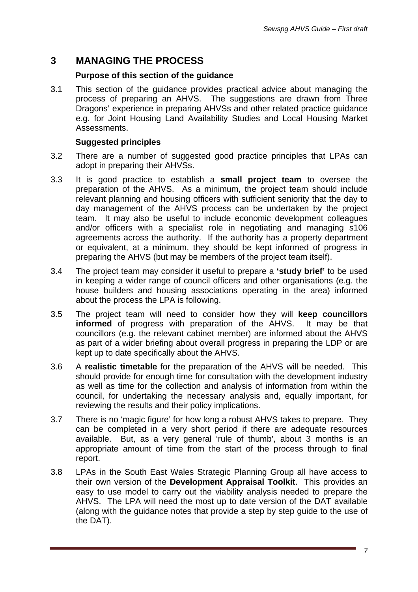# **3 MANAGING THE PROCESS**

#### **Purpose of this section of the guidance**

3.1 This section of the guidance provides practical advice about managing the process of preparing an AHVS. The suggestions are drawn from Three Dragons' experience in preparing AHVSs and other related practice guidance e.g. for Joint Housing Land Availability Studies and Local Housing Market Assessments.

#### **Suggested principles**

- 3.2 There are a number of suggested good practice principles that LPAs can adopt in preparing their AHVSs.
- 3.3 It is good practice to establish a **small project team** to oversee the preparation of the AHVS. As a minimum, the project team should include relevant planning and housing officers with sufficient seniority that the day to day management of the AHVS process can be undertaken by the project team. It may also be useful to include economic development colleagues and/or officers with a specialist role in negotiating and managing s106 agreements across the authority. If the authority has a property department or equivalent, at a minimum, they should be kept informed of progress in preparing the AHVS (but may be members of the project team itself).
- 3.4 The project team may consider it useful to prepare a **'study brief'** to be used in keeping a wider range of council officers and other organisations (e.g. the house builders and housing associations operating in the area) informed about the process the LPA is following.
- 3.5 The project team will need to consider how they will **keep councillors informed** of progress with preparation of the AHVS. It may be that councillors (e.g. the relevant cabinet member) are informed about the AHVS as part of a wider briefing about overall progress in preparing the LDP or are kept up to date specifically about the AHVS.
- 3.6 A **realistic timetable** for the preparation of the AHVS will be needed. This should provide for enough time for consultation with the development industry as well as time for the collection and analysis of information from within the council, for undertaking the necessary analysis and, equally important, for reviewing the results and their policy implications.
- 3.7 There is no 'magic figure' for how long a robust AHVS takes to prepare. They can be completed in a very short period if there are adequate resources available. But, as a very general 'rule of thumb', about 3 months is an appropriate amount of time from the start of the process through to final report.
- 3.8 LPAs in the South East Wales Strategic Planning Group all have access to their own version of the **Development Appraisal Toolkit**. This provides an easy to use model to carry out the viability analysis needed to prepare the AHVS. The LPA will need the most up to date version of the DAT available (along with the guidance notes that provide a step by step guide to the use of the DAT).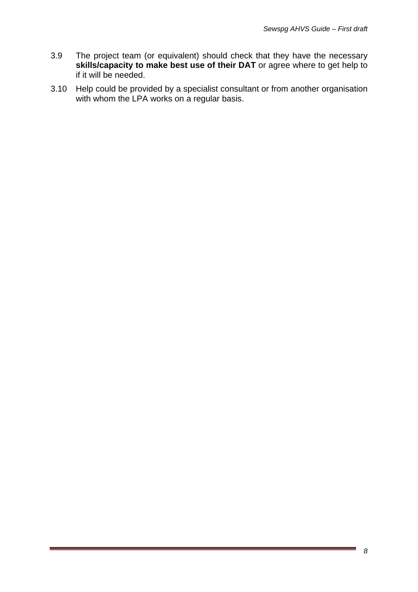- 3.9 The project team (or equivalent) should check that they have the necessary **skills/capacity to make best use of their DAT** or agree where to get help to if it will be needed.
- 3.10 Help could be provided by a specialist consultant or from another organisation with whom the LPA works on a regular basis.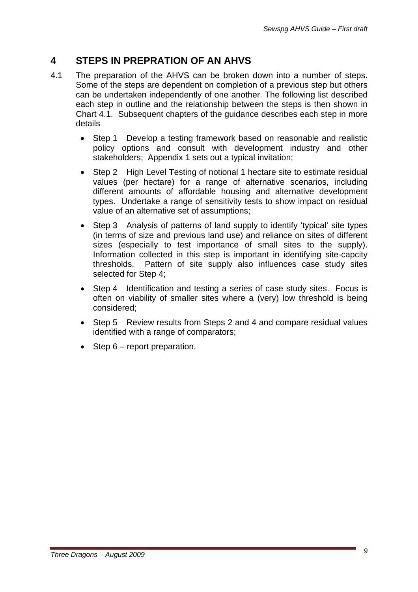# **4 STEPS IN PREPRATION OF AN AHVS**

- 4.1 The preparation of the AHVS can be broken down into a number of steps. Some of the steps are dependent on completion of a previous step but others can be undertaken independently of one another. The following list described each step in outline and the relationship between the steps is then shown in Chart 4.1. Subsequent chapters of the guidance describes each step in more details
	- Step 1 Develop a testing framework based on reasonable and realistic policy options and consult with development industry and other stakeholders; Appendix 1 sets out a typical invitation;
	- Step 2 High Level Testing of notional 1 hectare site to estimate residual values (per hectare) for a range of alternative scenarios, including different amounts of affordable housing and alternative development types. Undertake a range of sensitivity tests to show impact on residual value of an alternative set of assumptions;
	- Step 3 Analysis of patterns of land supply to identify 'typical' site types (in terms of size and previous land use) and reliance on sites of different sizes (especially to test importance of small sites to the supply). Information collected in this step is important in identifying site-capcity thresholds. Pattern of site supply also influences case study sites selected for Step 4;
	- Step 4 Identification and testing a series of case study sites. Focus is often on viability of smaller sites where a (very) low threshold is being considered;
	- Step 5 Review results from Steps 2 and 4 and compare residual values identified with a range of comparators;
	- Step 6 report preparation.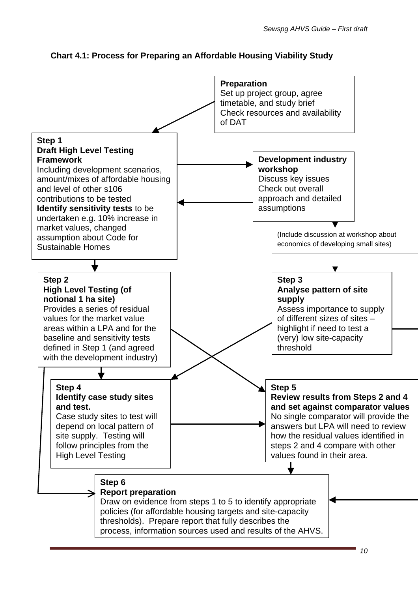

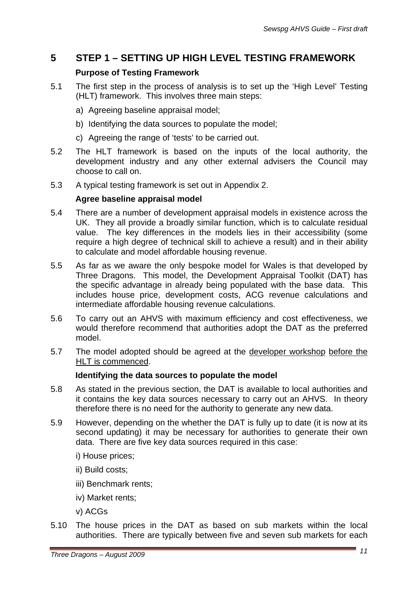# **5 STEP 1 – SETTING UP HIGH LEVEL TESTING FRAMEWORK**

# **Purpose of Testing Framework**

- 5.1 The first step in the process of analysis is to set up the 'High Level' Testing (HLT) framework. This involves three main steps:
	- a) Agreeing baseline appraisal model;
	- b) Identifying the data sources to populate the model;
	- c) Agreeing the range of 'tests' to be carried out.
- 5.2 The HLT framework is based on the inputs of the local authority, the development industry and any other external advisers the Council may choose to call on.
- 5.3 A typical testing framework is set out in Appendix 2.

#### **Agree baseline appraisal model**

- 5.4 There are a number of development appraisal models in existence across the UK. They all provide a broadly similar function, which is to calculate residual value. The key differences in the models lies in their accessibility (some require a high degree of technical skill to achieve a result) and in their ability to calculate and model affordable housing revenue.
- 5.5 As far as we aware the only bespoke model for Wales is that developed by Three Dragons. This model, the Development Appraisal Toolkit (DAT) has the specific advantage in already being populated with the base data. This includes house price, development costs, ACG revenue calculations and intermediate affordable housing revenue calculations.
- 5.6 To carry out an AHVS with maximum efficiency and cost effectiveness, we would therefore recommend that authorities adopt the DAT as the preferred model.
- 5.7 The model adopted should be agreed at the developer workshop before the HLT is commenced.

# **Identifying the data sources to populate the model**

- 5.8 As stated in the previous section, the DAT is available to local authorities and it contains the key data sources necessary to carry out an AHVS. In theory therefore there is no need for the authority to generate any new data.
- 5.9 However, depending on the whether the DAT is fully up to date (it is now at its second updating) it may be necessary for authorities to generate their own data. There are five key data sources required in this case:
	- i) House prices;
	- ii) Build costs;
	- iii) Benchmark rents;
	- iv) Market rents;
	- v) ACGs
- 5.10 The house prices in the DAT as based on sub markets within the local authorities. There are typically between five and seven sub markets for each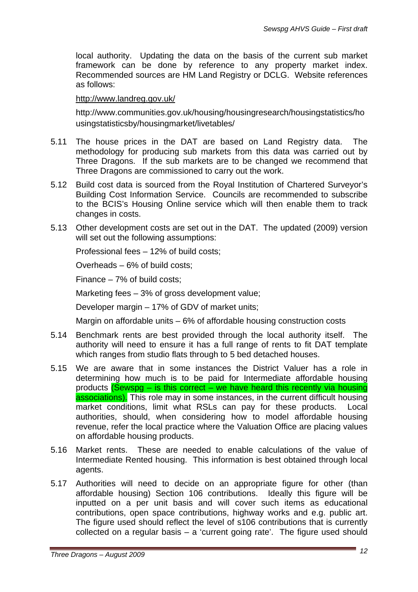local authority. Updating the data on the basis of the current sub market framework can be done by reference to any property market index. Recommended sources are HM Land Registry or DCLG. Website references as follows:

#### <http://www.landreg.gov.uk/>

http://www.communities.gov.uk/housing/housingresearch/housingstatistics/ho usingstatisticsby/housingmarket/livetables/

- 5.11 The house prices in the DAT are based on Land Registry data. The methodology for producing sub markets from this data was carried out by Three Dragons. If the sub markets are to be changed we recommend that Three Dragons are commissioned to carry out the work.
- 5.12 Build cost data is sourced from the Royal Institution of Chartered Surveyor's Building Cost Information Service. Councils are recommended to subscribe to the BCIS's Housing Online service which will then enable them to track changes in costs.
- 5.13 Other development costs are set out in the DAT. The updated (2009) version will set out the following assumptions:

Professional fees – 12% of build costs;

Overheads – 6% of build costs;

Finance – 7% of build costs;

Marketing fees – 3% of gross development value;

Developer margin – 17% of GDV of market units;

Margin on affordable units – 6% of affordable housing construction costs

- 5.14 Benchmark rents are best provided through the local authority itself. The authority will need to ensure it has a full range of rents to fit DAT template which ranges from studio flats through to 5 bed detached houses.
- 5.15 We are aware that in some instances the District Valuer has a role in determining how much is to be paid for Intermediate affordable housing products (Sewspg – is this correct – we have heard this recently via housing associations). This role may in some instances, in the current difficult housing market conditions, limit what RSLs can pay for these products. Local authorities, should, when considering how to model affordable housing revenue, refer the local practice where the Valuation Office are placing values on affordable housing products.
- 5.16 Market rents. These are needed to enable calculations of the value of Intermediate Rented housing. This information is best obtained through local agents.
- 5.17 Authorities will need to decide on an appropriate figure for other (than affordable housing) Section 106 contributions. Ideally this figure will be inputted on a per unit basis and will cover such items as educational contributions, open space contributions, highway works and e.g. public art. The figure used should reflect the level of s106 contributions that is currently collected on a regular basis – a 'current going rate'. The figure used should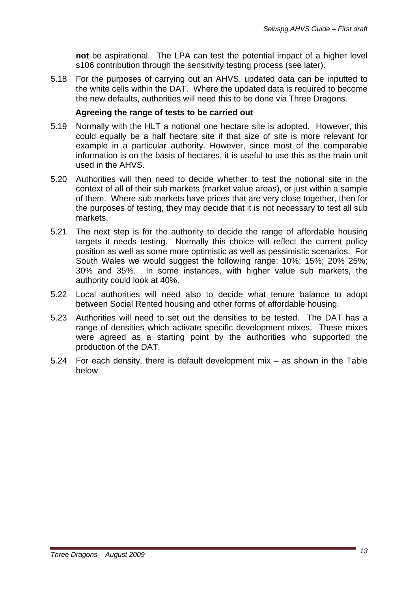**not** be aspirational. The LPA can test the potential impact of a higher level s106 contribution through the sensitivity testing process (see later).

5.18 For the purposes of carrying out an AHVS, updated data can be inputted to the white cells within the DAT. Where the updated data is required to become the new defaults, authorities will need this to be done via Three Dragons.

#### **Agreeing the range of tests to be carried out**

- 5.19 Normally with the HLT a notional one hectare site is adopted. However, this could equally be a half hectare site if that size of site is more relevant for example in a particular authority. However, since most of the comparable information is on the basis of hectares, it is useful to use this as the main unit used in the AHVS.
- 5.20 Authorities will then need to decide whether to test the notional site in the context of all of their sub markets (market value areas), or just within a sample of them. Where sub markets have prices that are very close together, then for the purposes of testing, they may decide that it is not necessary to test all sub markets.
- 5.21 The next step is for the authority to decide the range of affordable housing targets it needs testing. Normally this choice will reflect the current policy position as well as some more optimistic as well as pessimistic scenarios. For South Wales we would suggest the following range: 10%; 15%; 20% 25%; 30% and 35%. In some instances, with higher value sub markets, the authority could look at 40%.
- 5.22 Local authorities will need also to decide what tenure balance to adopt between Social Rented housing and other forms of affordable housing.
- 5.23 Authorities will need to set out the densities to be tested. The DAT has a range of densities which activate specific development mixes. These mixes were agreed as a starting point by the authorities who supported the production of the DAT.
- 5.24 For each density, there is default development mix as shown in the Table below.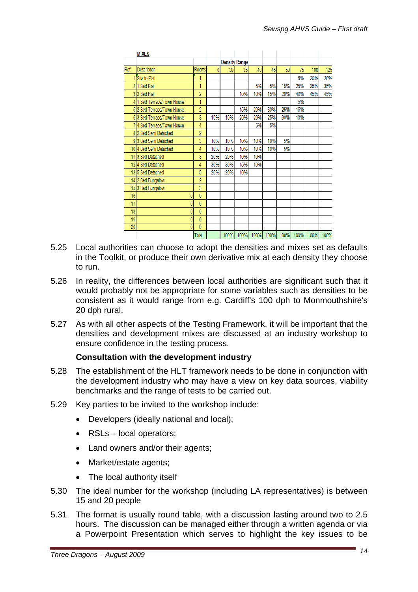|      | <b>MIXES</b>               |                |     |                 |                      |     |     |     |     |     |      |
|------|----------------------------|----------------|-----|-----------------|----------------------|-----|-----|-----|-----|-----|------|
|      |                            |                |     |                 | <b>Density Range</b> |     |     |     |     |     |      |
| Ref. | Description                | Rooms          | ٥   | 30 <sup>1</sup> | 35 <sub>1</sub>      | 40  | 45  | 50  | 75  | 100 | 125  |
|      | Studio Flat                | 1              |     |                 |                      |     |     |     | 5%  | 20% | 20%  |
|      | 21 Bed Flat                | 1              |     |                 |                      | 5%  | 5%  | 15% | 25% | 35% | 35%  |
|      | 32 Bed Flat                | $\overline{2}$ |     |                 | 10%                  | 10% | 15% | 20% | 40% | 45% | 45%  |
|      | 4 1 Bed Terrace/Town House | 1              |     |                 |                      |     |     |     | 5%  |     |      |
|      | 5 2 Bed Terrace/Town House | $\overline{2}$ |     |                 | 15%                  | 20% | 30% | 25% | 15% |     |      |
|      | 63 Bed Terrace/Town House  | 3              | 10% | 10%             | 20%                  | 20% | 25% | 30% | 10% |     |      |
|      | 7 4 Bed Terrace/Town House | 4              |     |                 |                      | 5%  | 5%  |     |     |     |      |
|      | 8 2 Bed Semi Detached      | $\overline{2}$ |     |                 |                      |     |     |     |     |     |      |
|      | 93 Bed Semi Detached       | 3              | 10% | 10%             | 10%                  | 10% | 10% | 5%  |     |     |      |
|      | 10 4 Bed Semi Detached     | 4              | 10% | 10%             | 10%                  | 10% | 10% | 5%  |     |     |      |
|      | 11 3 Bed Detached          | 3              | 20% | 20%             | 10%                  | 10% |     |     |     |     |      |
|      | 124 Bed Detached           | 4              | 30% | 30%             | 15%                  | 10% |     |     |     |     |      |
|      | 135 Bed Detached           | 5              | 20% | 20%             | 10%                  |     |     |     |     |     |      |
|      | 14 2 Bed Bungalow          | $\overline{2}$ |     |                 |                      |     |     |     |     |     |      |
|      | 153 Bed Bungalow           | 3              |     |                 |                      |     |     |     |     |     |      |
| 16   | 0                          | 0              |     |                 |                      |     |     |     |     |     |      |
| 17   | ٥                          | 0              |     |                 |                      |     |     |     |     |     |      |
| 18   | ٥                          | $\mathbf{0}$   |     |                 |                      |     |     |     |     |     |      |
| 19   | 0                          | $\bf{0}$       |     |                 |                      |     |     |     |     |     |      |
| 20   | ٥                          | 0              |     |                 |                      |     |     |     |     |     |      |
|      |                            | Total          |     |                 |                      |     |     |     |     |     | 100% |

- 5.25 Local authorities can choose to adopt the densities and mixes set as defaults in the Toolkit, or produce their own derivative mix at each density they choose to run.
- 5.26 In reality, the differences between local authorities are significant such that it would probably not be appropriate for some variables such as densities to be consistent as it would range from e.g. Cardiff's 100 dph to Monmouthshire's 20 dph rural.
- 5.27 As with all other aspects of the Testing Framework, it will be important that the densities and development mixes are discussed at an industry workshop to ensure confidence in the testing process.

# **Consultation with the development industry**

- 5.28 The establishment of the HLT framework needs to be done in conjunction with the development industry who may have a view on key data sources, viability benchmarks and the range of tests to be carried out.
- 5.29 Key parties to be invited to the workshop include:
	- Developers (ideally national and local);
	- RSLs local operators;
	- Land owners and/or their agents:
	- Market/estate agents;
	- The local authority itself
- 5.30 The ideal number for the workshop (including LA representatives) is between 15 and 20 people
- 5.31 The format is usually round table, with a discussion lasting around two to 2.5 hours. The discussion can be managed either through a written agenda or via a Powerpoint Presentation which serves to highlight the key issues to be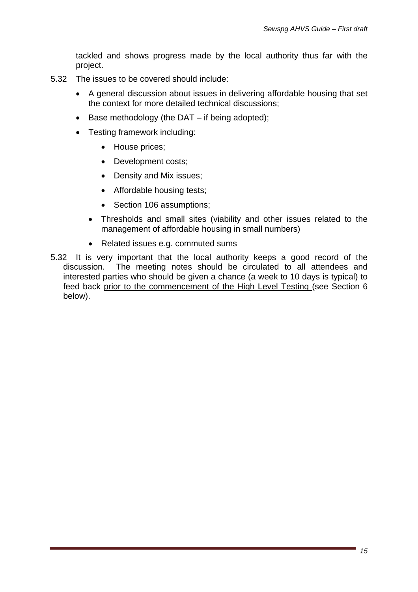tackled and shows progress made by the local authority thus far with the project.

- 5.32 The issues to be covered should include:
	- A general discussion about issues in delivering affordable housing that set the context for more detailed technical discussions;
	- Base methodology (the DAT if being adopted);
	- Testing framework including:
		- House prices;
		- Development costs;
		- Density and Mix issues;
		- Affordable housing tests;
		- Section 106 assumptions:
		- Thresholds and small sites (viability and other issues related to the management of affordable housing in small numbers)
		- Related issues e.g. commuted sums
- 5.32 It is very important that the local authority keeps a good record of the discussion. The meeting notes should be circulated to all attendees and interested parties who should be given a chance (a week to 10 days is typical) to feed back prior to the commencement of the High Level Testing (see Section 6 below).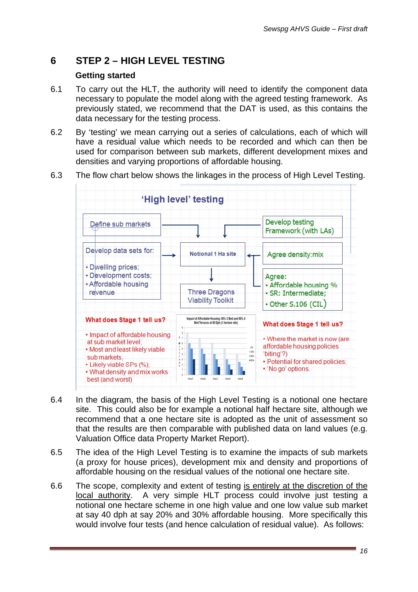# **6 STEP 2 – HIGH LEVEL TESTING**

#### **Getting started**

- 6.1 To carry out the HLT, the authority will need to identify the component data necessary to populate the model along with the agreed testing framework. As previously stated, we recommend that the DAT is used, as this contains the data necessary for the testing process.
- 6.2 By 'testing' we mean carrying out a series of calculations, each of which will have a residual value which needs to be recorded and which can then be used for comparison between sub markets, different development mixes and densities and varying proportions of affordable housing.
- 6.3 The flow chart below shows the linkages in the process of High Level Testing.



- 6.4 In the diagram, the basis of the High Level Testing is a notional one hectare site. This could also be for example a notional half hectare site, although we recommend that a one hectare site is adopted as the unit of assessment so that the results are then comparable with published data on land values (e.g. Valuation Office data Property Market Report).
- 6.5 The idea of the High Level Testing is to examine the impacts of sub markets (a proxy for house prices), development mix and density and proportions of affordable housing on the residual values of the notional one hectare site.
- 6.6 The scope, complexity and extent of testing is entirely at the discretion of the local authority. A very simple HLT process could involve just testing a notional one hectare scheme in one high value and one low value sub market at say 40 dph at say 20% and 30% affordable housing. More specifically this would involve four tests (and hence calculation of residual value). As follows: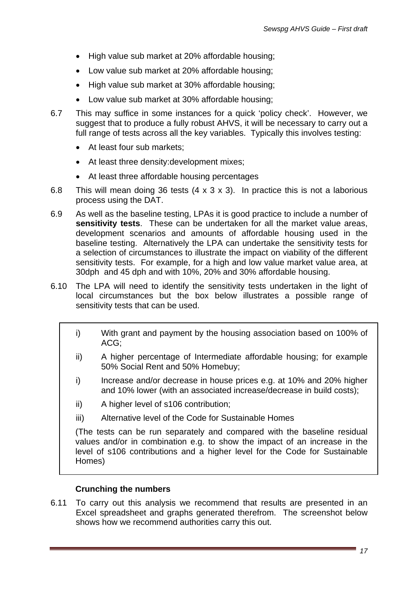- High value sub market at 20% affordable housing;
- Low value sub market at 20% affordable housing;
- High value sub market at 30% affordable housing;
- Low value sub market at 30% affordable housing;
- 6.7 This may suffice in some instances for a quick 'policy check'. However, we suggest that to produce a fully robust AHVS, it will be necessary to carry out a full range of tests across all the key variables. Typically this involves testing:
	- At least four sub markets;
	- At least three density: development mixes;
	- At least three affordable housing percentages
- 6.8 This will mean doing 36 tests (4 x 3 x 3). In practice this is not a laborious process using the DAT.
- 6.9 As well as the baseline testing, LPAs it is good practice to include a number of **sensitivity tests**. These can be undertaken for all the market value areas, development scenarios and amounts of affordable housing used in the baseline testing. Alternatively the LPA can undertake the sensitivity tests for a selection of circumstances to illustrate the impact on viability of the different sensitivity tests. For example, for a high and low value market value area, at 30dph and 45 dph and with 10%, 20% and 30% affordable housing.
- 6.10 The LPA will need to identify the sensitivity tests undertaken in the light of local circumstances but the box below illustrates a possible range of sensitivity tests that can be used.
	- i) With grant and payment by the housing association based on 100% of ACG;
	- ii) A higher percentage of Intermediate affordable housing; for example 50% Social Rent and 50% Homebuy;
	- i) Increase and/or decrease in house prices e.g. at 10% and 20% higher and 10% lower (with an associated increase/decrease in build costs);
	- ii) A higher level of s106 contribution;
	- iii) Alternative level of the Code for Sustainable Homes

(The tests can be run separately and compared with the baseline residual values and/or in combination e.g. to show the impact of an increase in the level of s106 contributions and a higher level for the Code for Sustainable Homes)

#### **Crunching the numbers**

6.11 To carry out this analysis we recommend that results are presented in an Excel spreadsheet and graphs generated therefrom. The screenshot below shows how we recommend authorities carry this out.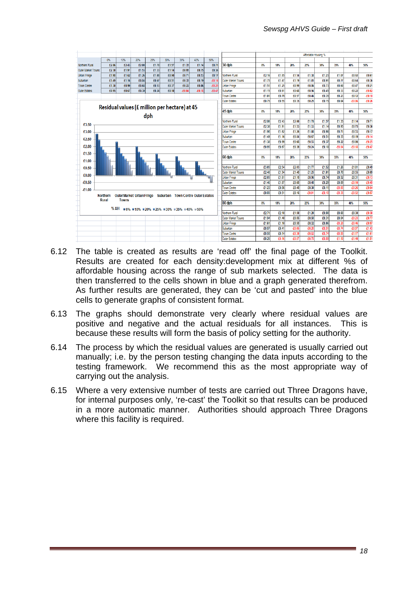

- 6.12 The table is created as results are 'read off' the final page of the Toolkit. Results are created for each density:development mix at different %s of affordable housing across the range of sub markets selected. The data is then transferred to the cells shown in blue and a graph generated therefrom. As further results are generated, they can be 'cut and pasted' into the blue cells to generate graphs of consistent format.
- 6.13 The graphs should demonstrate very clearly where residual values are positive and negative and the actual residuals for all instances. This is because these results will form the basis of policy setting for the authority.
- 6.14 The process by which the residual values are generated is usually carried out manually; i.e. by the person testing changing the data inputs according to the testing framework. We recommend this as the most appropriate way of carrying out the analysis.
- 6.15 Where a very extensive number of tests are carried out Three Dragons have, for internal purposes only, 're-cast' the Toolkit so that results can be produced in a more automatic manner. Authorities should approach Three Dragons where this facility is required.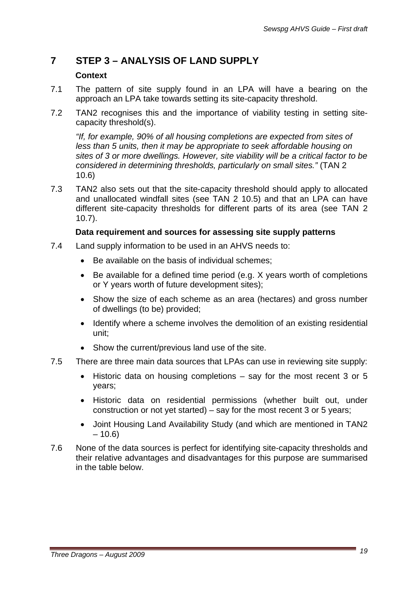# **7 STEP 3 – ANALYSIS OF LAND SUPPLY**

### **Context**

- 7.1 The pattern of site supply found in an LPA will have a bearing on the approach an LPA take towards setting its site-capacity threshold.
- 7.2 TAN2 recognises this and the importance of viability testing in setting sitecapacity threshold(s).

*"If, for example, 90% of all housing completions are expected from sites of less than 5 units, then it may be appropriate to seek affordable housing on sites of 3 or more dwellings. However, site viability will be a critical factor to be considered in determining thresholds, particularly on small sites."* (TAN 2 10.6)

7.3 TAN2 also sets out that the site-capacity threshold should apply to allocated and unallocated windfall sites (see TAN 2 10.5) and that an LPA can have different site-capacity thresholds for different parts of its area (see TAN 2 10.7).

### **Data requirement and sources for assessing site supply patterns**

- 7.4 Land supply information to be used in an AHVS needs to:
	- Be available on the basis of individual schemes;
	- Be available for a defined time period (e.g. X years worth of completions or Y years worth of future development sites);
	- Show the size of each scheme as an area (hectares) and gross number of dwellings (to be) provided;
	- Identify where a scheme involves the demolition of an existing residential unit;
	- Show the current/previous land use of the site.
- 7.5 There are three main data sources that LPAs can use in reviewing site supply:
	- Historic data on housing completions say for the most recent 3 or 5 years;
	- Historic data on residential permissions (whether built out, under construction or not yet started) – say for the most recent 3 or 5 years;
	- Joint Housing Land Availability Study (and which are mentioned in TAN2  $-10.6$
- 7.6 None of the data sources is perfect for identifying site-capacity thresholds and their relative advantages and disadvantages for this purpose are summarised in the table below.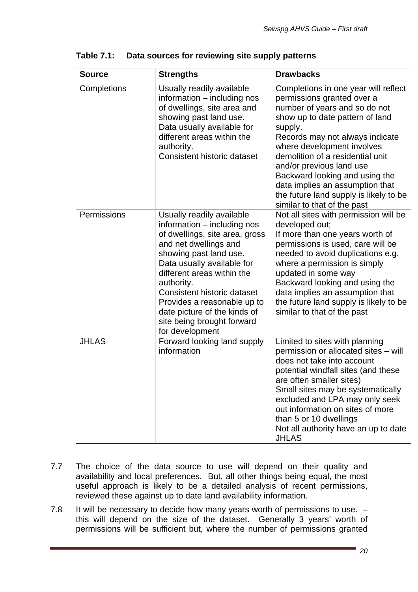| <b>Source</b> | <b>Strengths</b>                                                                                                                                                                                                                                                                                                                                                              | <b>Drawbacks</b>                                                                                                                                                                                                                                                                                                                                                                                                                 |
|---------------|-------------------------------------------------------------------------------------------------------------------------------------------------------------------------------------------------------------------------------------------------------------------------------------------------------------------------------------------------------------------------------|----------------------------------------------------------------------------------------------------------------------------------------------------------------------------------------------------------------------------------------------------------------------------------------------------------------------------------------------------------------------------------------------------------------------------------|
| Completions   | Usually readily available<br>information – including nos<br>of dwellings, site area and<br>showing past land use.<br>Data usually available for<br>different areas within the<br>authority.<br><b>Consistent historic dataset</b>                                                                                                                                             | Completions in one year will reflect<br>permissions granted over a<br>number of years and so do not<br>show up to date pattern of land<br>supply.<br>Records may not always indicate<br>where development involves<br>demolition of a residential unit<br>and/or previous land use<br>Backward looking and using the<br>data implies an assumption that<br>the future land supply is likely to be<br>similar to that of the past |
| Permissions   | Usually readily available<br>information - including nos<br>of dwellings, site area, gross<br>and net dwellings and<br>showing past land use.<br>Data usually available for<br>different areas within the<br>authority.<br><b>Consistent historic dataset</b><br>Provides a reasonable up to<br>date picture of the kinds of<br>site being brought forward<br>for development | Not all sites with permission will be<br>developed out;<br>If more than one years worth of<br>permissions is used, care will be<br>needed to avoid duplications e.g.<br>where a permission is simply<br>updated in some way<br>Backward looking and using the<br>data implies an assumption that<br>the future land supply is likely to be<br>similar to that of the past                                                        |
| <b>JHLAS</b>  | Forward looking land supply<br>information                                                                                                                                                                                                                                                                                                                                    | Limited to sites with planning<br>permission or allocated sites - will<br>does not take into account<br>potential windfall sites (and these<br>are often smaller sites)<br>Small sites may be systematically<br>excluded and LPA may only seek<br>out information on sites of more<br>than 5 or 10 dwellings<br>Not all authority have an up to date<br><b>JHLAS</b>                                                             |

**Table 7.1: Data sources for reviewing site supply patterns** 

- 7.7 The choice of the data source to use will depend on their quality and availability and local preferences. But, all other things being equal, the most useful approach is likely to be a detailed analysis of recent permissions, reviewed these against up to date land availability information.
- 7.8 It will be necessary to decide how many years worth of permissions to use. this will depend on the size of the dataset. Generally 3 years' worth of permissions will be sufficient but, where the number of permissions granted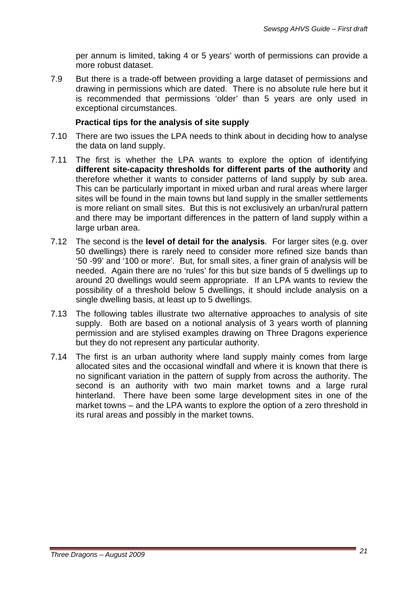per annum is limited, taking 4 or 5 years' worth of permissions can provide a more robust dataset.

7.9 But there is a trade-off between providing a large dataset of permissions and drawing in permissions which are dated. There is no absolute rule here but it is recommended that permissions 'older' than 5 years are only used in exceptional circumstances.

#### **Practical tips for the analysis of site supply**

- 7.10 There are two issues the LPA needs to think about in deciding how to analyse the data on land supply.
- 7.11 The first is whether the LPA wants to explore the option of identifying **different site-capacity thresholds for different parts of the authority** and therefore whether it wants to consider patterns of land supply by sub area. This can be particularly important in mixed urban and rural areas where larger sites will be found in the main towns but land supply in the smaller settlements is more reliant on small sites. But this is not exclusively an urban/rural pattern and there may be important differences in the pattern of land supply within a large urban area.
- 7.12 The second is the **level of detail for the analysis**. For larger sites (e.g. over 50 dwellings) there is rarely need to consider more refined size bands than '50 -99' and '100 or more'. But, for small sites, a finer grain of analysis will be needed. Again there are no 'rules' for this but size bands of 5 dwellings up to around 20 dwellings would seem appropriate. If an LPA wants to review the possibility of a threshold below 5 dwellings, it should include analysis on a single dwelling basis, at least up to 5 dwellings.
- 7.13 The following tables illustrate two alternative approaches to analysis of site supply. Both are based on a notional analysis of 3 years worth of planning permission and are stylised examples drawing on Three Dragons experience but they do not represent any particular authority.
- 7.14 The first is an urban authority where land supply mainly comes from large allocated sites and the occasional windfall and where it is known that there is no significant variation in the pattern of supply from across the authority. The second is an authority with two main market towns and a large rural hinterland. There have been some large development sites in one of the market towns – and the LPA wants to explore the option of a zero threshold in its rural areas and possibly in the market towns.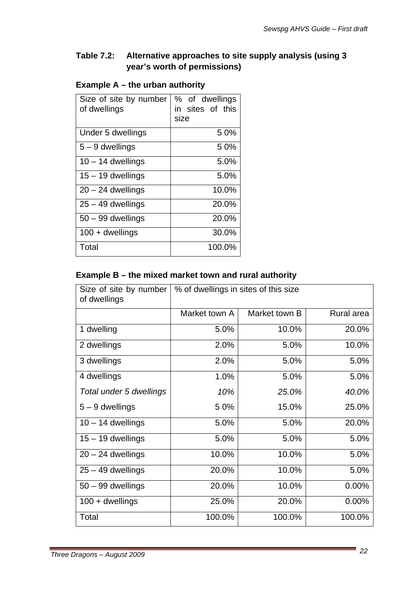# **Table 7.2: Alternative approaches to site supply analysis (using 3 year's worth of permissions)**

# **Example A – the urban authority**

| Size of site by number<br>of dwellings | % of dwellings<br>sites of this<br>in<br>size |  |  |  |
|----------------------------------------|-----------------------------------------------|--|--|--|
| Under 5 dwellings                      | 50%                                           |  |  |  |
| $5 - 9$ dwellings                      | 50%                                           |  |  |  |
| $10 - 14$ dwellings                    | 5.0%                                          |  |  |  |
| $15 - 19$ dwellings                    | 5.0%                                          |  |  |  |
| $20 - 24$ dwellings                    | 10.0%                                         |  |  |  |
| $25 - 49$ dwellings                    | 20.0%                                         |  |  |  |
| $50 - 99$ dwellings                    | 20.0%                                         |  |  |  |
| $100 +$ dwellings                      | 30.0%                                         |  |  |  |
| Total                                  | 100.0%                                        |  |  |  |

# **Example B – the mixed market town and rural authority**

| Size of site by number<br>of dwellings | % of dwellings in sites of this size |               |            |  |  |  |
|----------------------------------------|--------------------------------------|---------------|------------|--|--|--|
|                                        | Market town A                        | Market town B | Rural area |  |  |  |
| 1 dwelling                             | 5.0%                                 | 10.0%         | 20.0%      |  |  |  |
| 2 dwellings                            | 2.0%                                 | 5.0%          | 10.0%      |  |  |  |
| 3 dwellings                            | 2.0%                                 | 5.0%          | 5.0%       |  |  |  |
| 4 dwellings                            | 1.0%                                 | 5.0%          | 5.0%       |  |  |  |
| Total under 5 dwellings                | 10%                                  | 25.0%         | 40.0%      |  |  |  |
| $5 - 9$ dwellings                      | 50%                                  | 15.0%         | 25.0%      |  |  |  |
| $10 - 14$ dwellings                    | 5.0%                                 | 5.0%          | 20.0%      |  |  |  |
| $15 - 19$ dwellings                    | 5.0%                                 | 5.0%          | 5.0%       |  |  |  |
| $20 - 24$ dwellings                    | 10.0%                                | 10.0%         | 5.0%       |  |  |  |
| $25 - 49$ dwellings                    | 20.0%                                | 10.0%         | 5.0%       |  |  |  |
| $50 - 99$ dwellings                    | 20.0%                                | 10.0%         | $0.00\%$   |  |  |  |
| $100 +$ dwellings                      | 25.0%                                | 20.0%         | 0.00%      |  |  |  |
| Total                                  | 100.0%                               | 100.0%        | 100.0%     |  |  |  |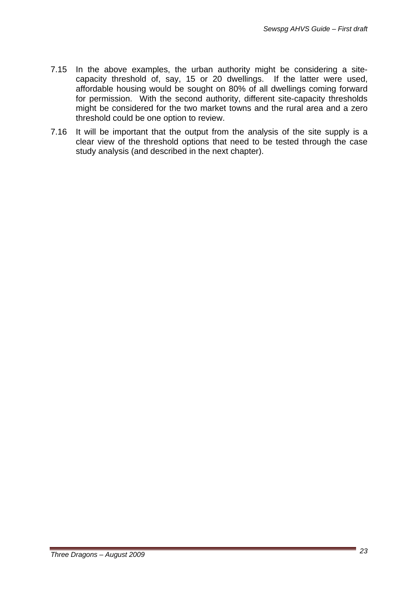- 7.15 In the above examples, the urban authority might be considering a sitecapacity threshold of, say, 15 or 20 dwellings. If the latter were used, affordable housing would be sought on 80% of all dwellings coming forward for permission. With the second authority, different site-capacity thresholds might be considered for the two market towns and the rural area and a zero threshold could be one option to review.
- 7.16 It will be important that the output from the analysis of the site supply is a clear view of the threshold options that need to be tested through the case study analysis (and described in the next chapter).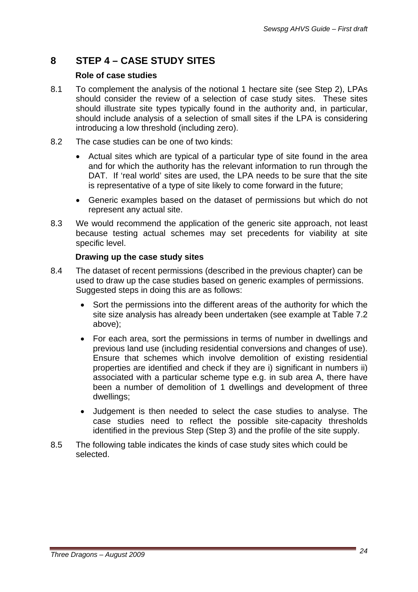# **8 STEP 4 – CASE STUDY SITES**

#### **Role of case studies**

- 8.1 To complement the analysis of the notional 1 hectare site (see Step 2), LPAs should consider the review of a selection of case study sites. These sites should illustrate site types typically found in the authority and, in particular, should include analysis of a selection of small sites if the LPA is considering introducing a low threshold (including zero).
- 8.2 The case studies can be one of two kinds:
	- Actual sites which are typical of a particular type of site found in the area and for which the authority has the relevant information to run through the DAT. If 'real world' sites are used, the LPA needs to be sure that the site is representative of a type of site likely to come forward in the future;
	- Generic examples based on the dataset of permissions but which do not represent any actual site.
- 8.3 We would recommend the application of the generic site approach, not least because testing actual schemes may set precedents for viability at site specific level.

### **Drawing up the case study sites**

- 8.4 The dataset of recent permissions (described in the previous chapter) can be used to draw up the case studies based on generic examples of permissions. Suggested steps in doing this are as follows:
	- Sort the permissions into the different areas of the authority for which the site size analysis has already been undertaken (see example at Table 7.2 above);
	- For each area, sort the permissions in terms of number in dwellings and previous land use (including residential conversions and changes of use). Ensure that schemes which involve demolition of existing residential properties are identified and check if they are i) significant in numbers ii) associated with a particular scheme type e.g. in sub area A, there have been a number of demolition of 1 dwellings and development of three dwellings;
	- Judgement is then needed to select the case studies to analyse. The case studies need to reflect the possible site-capacity thresholds identified in the previous Step (Step 3) and the profile of the site supply.
- 8.5 The following table indicates the kinds of case study sites which could be selected.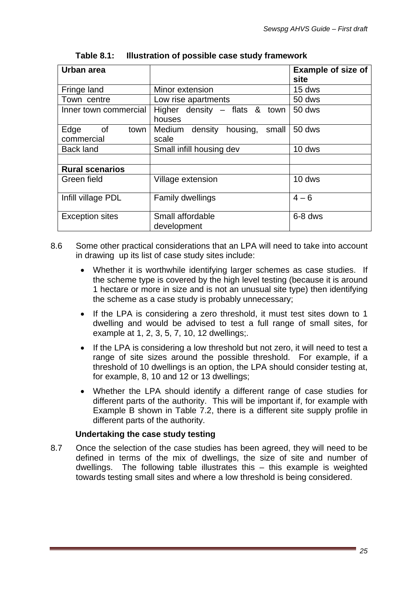| Urban area                               |                                              | <b>Example of size of</b><br>site |
|------------------------------------------|----------------------------------------------|-----------------------------------|
| Fringe land                              | Minor extension                              | 15 dws                            |
| Town centre                              | Low rise apartments                          | 50 dws                            |
| Inner town commercial                    | Higher density $-$ flats & town<br>houses    | 50 dws                            |
| Edge<br>$\circ$ of<br>town<br>commercial | Medium density<br>housing,<br>small<br>scale | 50 dws                            |
| <b>Back land</b>                         | Small infill housing dev                     | 10 dws                            |
|                                          |                                              |                                   |
| <b>Rural scenarios</b>                   |                                              |                                   |
| Green field                              | Village extension                            | 10 dws                            |
| Infill village PDL                       | <b>Family dwellings</b>                      | $4 - 6$                           |
| <b>Exception sites</b>                   | Small affordable<br>development              | 6-8 dws                           |

**Table 8.1: Illustration of possible case study framework** 

- 8.6 Some other practical considerations that an LPA will need to take into account in drawing up its list of case study sites include:
	- Whether it is worthwhile identifying larger schemes as case studies. If the scheme type is covered by the high level testing (because it is around 1 hectare or more in size and is not an unusual site type) then identifying the scheme as a case study is probably unnecessary;
	- If the LPA is considering a zero threshold, it must test sites down to 1 dwelling and would be advised to test a full range of small sites, for example at 1, 2, 3, 5, 7, 10, 12 dwellings;.
	- If the LPA is considering a low threshold but not zero, it will need to test a range of site sizes around the possible threshold. For example, if a threshold of 10 dwellings is an option, the LPA should consider testing at, for example, 8, 10 and 12 or 13 dwellings;
	- Whether the LPA should identify a different range of case studies for different parts of the authority. This will be important if, for example with Example B shown in Table 7.2, there is a different site supply profile in different parts of the authority.

# **Undertaking the case study testing**

8.7 Once the selection of the case studies has been agreed, they will need to be defined in terms of the mix of dwellings, the size of site and number of dwellings. The following table illustrates this – this example is weighted towards testing small sites and where a low threshold is being considered.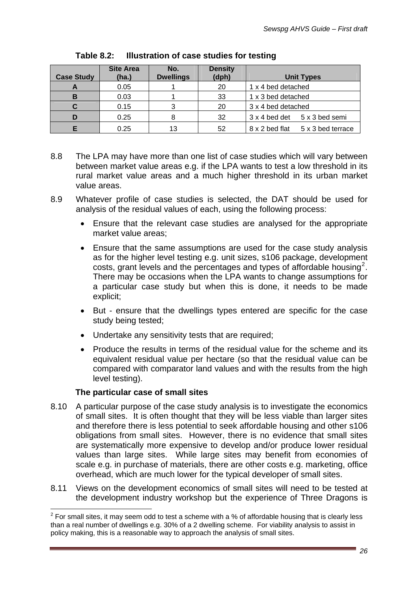| <b>Case Study</b> | <b>Site Area</b><br>(ha.) | No.<br><b>Dwellings</b> | <b>Density</b><br>(dph) | <b>Unit Types</b>                   |  |  |
|-------------------|---------------------------|-------------------------|-------------------------|-------------------------------------|--|--|
|                   | 0.05                      |                         | 20                      | 1 x 4 bed detached                  |  |  |
|                   | 0.03                      |                         | 33                      | 1 x 3 bed detached                  |  |  |
|                   | 0.15                      |                         | 20                      | 3 x 4 bed detached                  |  |  |
|                   | 0.25                      |                         | 32                      | 5 x 3 bed semi<br>3 x 4 bed det     |  |  |
|                   | 0.25                      | 13                      | 52                      | 8 x 2 bed flat<br>5 x 3 bed terrace |  |  |

**Table 8.2: Illustration of case studies for testing** 

- 8.8 The LPA may have more than one list of case studies which will vary between between market value areas e.g. if the LPA wants to test a low threshold in its rural market value areas and a much higher threshold in its urban market value areas.
- 8.9 Whatever profile of case studies is selected, the DAT should be used for analysis of the residual values of each, using the following process:
	- Ensure that the relevant case studies are analysed for the appropriate market value areas;
	- Ensure that the same assumptions are used for the case study analysis as for the higher level testing e.g. unit sizes, s106 package, development  $costs$ , grant levels and the percentages and types of affordable housing<sup>[2](#page-26-0)</sup>. There may be occasions when the LPA wants to change assumptions for a particular case study but when this is done, it needs to be made explicit;
	- But ensure that the dwellings types entered are specific for the case study being tested;
	- Undertake any sensitivity tests that are required;
	- Produce the results in terms of the residual value for the scheme and its equivalent residual value per hectare (so that the residual value can be compared with comparator land values and with the results from the high level testing).

#### **The particular case of small sites**

 $\overline{a}$ 

- 8.10 A particular purpose of the case study analysis is to investigate the economics of small sites. It is often thought that they will be less viable than larger sites and therefore there is less potential to seek affordable housing and other s106 obligations from small sites. However, there is no evidence that small sites are systematically more expensive to develop and/or produce lower residual values than large sites. While large sites may benefit from economies of scale e.g. in purchase of materials, there are other costs e.g. marketing, office overhead, which are much lower for the typical developer of small sites.
- 8.11 Views on the development economics of small sites will need to be tested at the development industry workshop but the experience of Three Dragons is

<span id="page-26-0"></span> $2$  For small sites, it may seem odd to test a scheme with a % of affordable housing that is clearly less than a real number of dwellings e.g. 30% of a 2 dwelling scheme. For viability analysis to assist in policy making, this is a reasonable way to approach the analysis of small sites.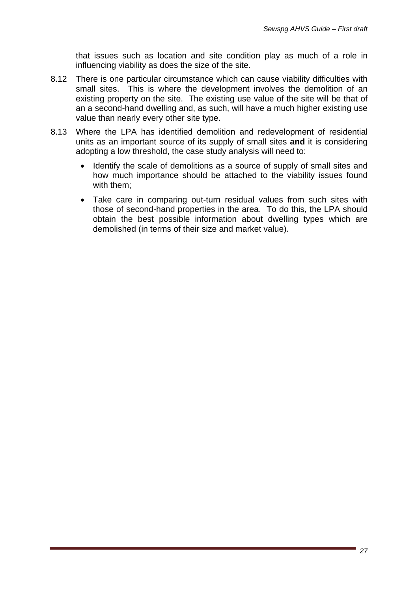that issues such as location and site condition play as much of a role in influencing viability as does the size of the site.

- 8.12 There is one particular circumstance which can cause viability difficulties with small sites. This is where the development involves the demolition of an existing property on the site. The existing use value of the site will be that of an a second-hand dwelling and, as such, will have a much higher existing use value than nearly every other site type.
- 8.13 Where the LPA has identified demolition and redevelopment of residential units as an important source of its supply of small sites **and** it is considering adopting a low threshold, the case study analysis will need to:
	- Identify the scale of demolitions as a source of supply of small sites and how much importance should be attached to the viability issues found with them;
	- Take care in comparing out-turn residual values from such sites with those of second-hand properties in the area. To do this, the LPA should obtain the best possible information about dwelling types which are demolished (in terms of their size and market value).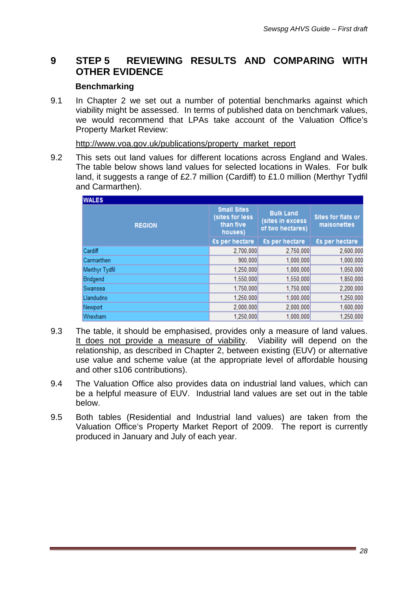# **9 STEP 5 REVIEWING RESULTS AND COMPARING WITH OTHER EVIDENCE**

### **Benchmarking**

9.1 In Chapter 2 we set out a number of potential benchmarks against which viability might be assessed. In terms of published data on benchmark values, we would recommend that LPAs take account of the Valuation Office's Property Market Review:

http://www.voa.gov.uk/publications/property\_market\_report

9.2 This sets out land values for different locations across England and Wales. The table below shows land values for selected locations in Wales. For bulk land, it suggests a range of £2.7 million (Cardiff) to £1.0 million (Merthyr Tydfil and Carmarthen).

| <b>WALES</b>   |                                                               |                                                          |                                          |  |
|----------------|---------------------------------------------------------------|----------------------------------------------------------|------------------------------------------|--|
| <b>REGION</b>  | <b>Small Sites</b><br>(sites for less<br>than five<br>houses) | <b>Bulk Land</b><br>(sites in excess<br>of two hectares) | <b>Sites for flats or</b><br>maisonettes |  |
|                | £s per hectare                                                | £s per hectare                                           | £s per hectare                           |  |
| Cardiff        | 2,700,000                                                     | 2,750,000                                                | 2,600,000                                |  |
| Carmarthen     | 900,000                                                       | 1,000,000                                                | 1,000,000                                |  |
| Merthyr Tydfil | 1,250,000                                                     | 1,000,000                                                | 1,050,000                                |  |
| Bridgend       | 1,550,000                                                     | 1,550,000                                                | 1,850,000                                |  |
| Swansea        | 1.750.000                                                     | 1.750.000                                                | 2,200,000                                |  |
| Llandudno      | 1,250,000                                                     | 1,000,000                                                | 1,250,000                                |  |
| Newport        | 2,000,000                                                     | 2,000,000                                                | 1,600,000                                |  |
| Wrexham        | 1,250,000                                                     | 1,000,000                                                | 1,250,000                                |  |

- 9.3 The table, it should be emphasised, provides only a measure of land values. It does not provide a measure of viability. Viability will depend on the relationship, as described in Chapter 2, between existing (EUV) or alternative use value and scheme value (at the appropriate level of affordable housing and other s106 contributions).
- 9.4 The Valuation Office also provides data on industrial land values, which can be a helpful measure of EUV. Industrial land values are set out in the table below.
- 9.5 Both tables (Residential and Industrial land values) are taken from the Valuation Office's Property Market Report of 2009. The report is currently produced in January and July of each year.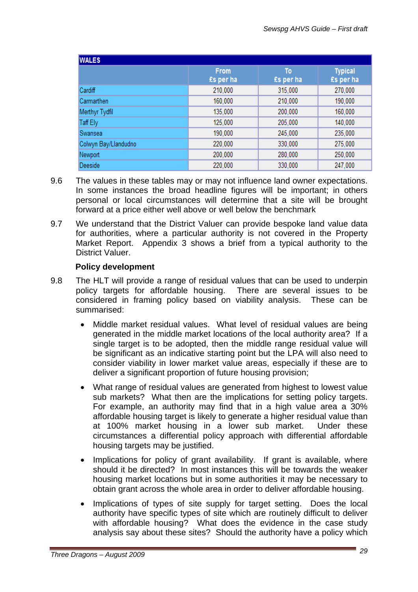| <b>WALES</b>         |                          |                 |                             |  |  |  |  |  |
|----------------------|--------------------------|-----------------|-----------------------------|--|--|--|--|--|
|                      | <b>From</b><br>£s per ha | To<br>£s per ha | <b>Typical</b><br>£s per ha |  |  |  |  |  |
| Cardiff              | 210,000                  | 315,000         | 270,000                     |  |  |  |  |  |
| Carmarthen           | 160,000                  | 210,000         | 190,000                     |  |  |  |  |  |
| Merthyr Tydfil       | 135,000                  | 200,000         | 160,000                     |  |  |  |  |  |
| Taff Ely             | 125,000                  | 205,000         | 140,000                     |  |  |  |  |  |
| Swansea              | 190,000                  | 245,000         | 235,000                     |  |  |  |  |  |
| Colwyn Bay/Llandudno | 220,000                  | 330,000         | 275,000                     |  |  |  |  |  |
| Newport              | 200,000                  | 280,000         | 250,000                     |  |  |  |  |  |
| Deeside              | 220.000                  | 330.000         | 247,000                     |  |  |  |  |  |

- 9.6 The values in these tables may or may not influence land owner expectations. In some instances the broad headline figures will be important; in others personal or local circumstances will determine that a site will be brought forward at a price either well above or well below the benchmark
- 9.7 We understand that the District Valuer can provide bespoke land value data for authorities, where a particular authority is not covered in the Property Market Report. Appendix 3 shows a brief from a typical authority to the District Valuer.

#### **Policy development**

- 9.8 The HLT will provide a range of residual values that can be used to underpin policy targets for affordable housing. There are several issues to be considered in framing policy based on viability analysis. These can be summarised:
	- Middle market residual values. What level of residual values are being generated in the middle market locations of the local authority area? If a single target is to be adopted, then the middle range residual value will be significant as an indicative starting point but the LPA will also need to consider viability in lower market value areas, especially if these are to deliver a significant proportion of future housing provision;
	- What range of residual values are generated from highest to lowest value sub markets? What then are the implications for setting policy targets. For example, an authority may find that in a high value area a 30% affordable housing target is likely to generate a higher residual value than at 100% market housing in a lower sub market. Under these circumstances a differential policy approach with differential affordable housing targets may be justified.
	- Implications for policy of grant availability. If grant is available, where should it be directed? In most instances this will be towards the weaker housing market locations but in some authorities it may be necessary to obtain grant across the whole area in order to deliver affordable housing.
	- Implications of types of site supply for target setting. Does the local authority have specific types of site which are routinely difficult to deliver with affordable housing? What does the evidence in the case study analysis say about these sites? Should the authority have a policy which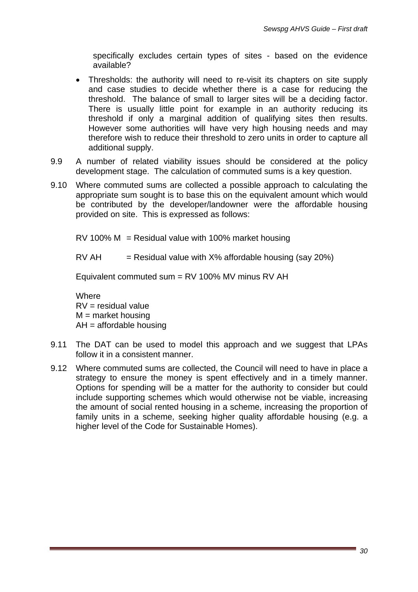specifically excludes certain types of sites - based on the evidence available?

- Thresholds: the authority will need to re-visit its chapters on site supply and case studies to decide whether there is a case for reducing the threshold. The balance of small to larger sites will be a deciding factor. There is usually little point for example in an authority reducing its threshold if only a marginal addition of qualifying sites then results. However some authorities will have very high housing needs and may therefore wish to reduce their threshold to zero units in order to capture all additional supply.
- 9.9 A number of related viability issues should be considered at the policy development stage. The calculation of commuted sums is a key question.
- 9.10 Where commuted sums are collected a possible approach to calculating the appropriate sum sought is to base this on the equivalent amount which would be contributed by the developer/landowner were the affordable housing provided on site. This is expressed as follows:
	- RV 100% M = Residual value with 100% market housing
	- $RV AH$  = Residual value with  $X\%$  affordable housing (say 20%)

Equivalent commuted sum = RV 100% MV minus RV AH

**Where**  $RV =$  residual value  $M =$  market housing  $AH =$ affordable housing

- 9.11 The DAT can be used to model this approach and we suggest that LPAs follow it in a consistent manner.
- 9.12 Where commuted sums are collected, the Council will need to have in place a strategy to ensure the money is spent effectively and in a timely manner. Options for spending will be a matter for the authority to consider but could include supporting schemes which would otherwise not be viable, increasing the amount of social rented housing in a scheme, increasing the proportion of family units in a scheme, seeking higher quality affordable housing (e.g. a higher level of the Code for Sustainable Homes).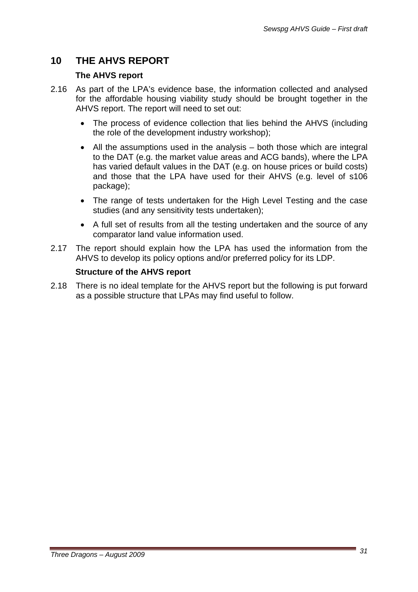# **10 THE AHVS REPORT**

### **The AHVS report**

- 2.16 As part of the LPA's evidence base, the information collected and analysed for the affordable housing viability study should be brought together in the AHVS report. The report will need to set out:
	- The process of evidence collection that lies behind the AHVS (including the role of the development industry workshop);
	- All the assumptions used in the analysis both those which are integral to the DAT (e.g. the market value areas and ACG bands), where the LPA has varied default values in the DAT (e.g. on house prices or build costs) and those that the LPA have used for their AHVS (e.g. level of s106 package);
	- The range of tests undertaken for the High Level Testing and the case studies (and any sensitivity tests undertaken);
	- A full set of results from all the testing undertaken and the source of any comparator land value information used.
- 2.17 The report should explain how the LPA has used the information from the AHVS to develop its policy options and/or preferred policy for its LDP.

# **Structure of the AHVS report**

2.18 There is no ideal template for the AHVS report but the following is put forward as a possible structure that LPAs may find useful to follow.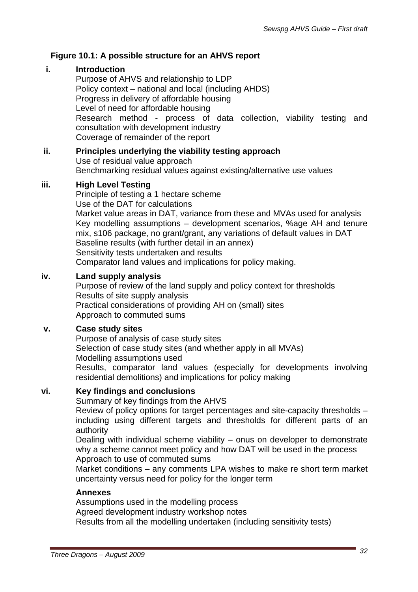# **Figure 10.1: A possible structure for an AHVS report**

# **i. Introduction**

Purpose of AHVS and relationship to LDP Policy context – national and local (including AHDS) Progress in delivery of affordable housing Level of need for affordable housing Research method - process of data collection, viability testing and consultation with development industry Coverage of remainder of the report

#### **ii. Principles underlying the viability testing approach**  Use of residual value approach Benchmarking residual values against existing/alternative use values

# **iii. High Level Testing**

Principle of testing a 1 hectare scheme Use of the DAT for calculations Market value areas in DAT, variance from these and MVAs used for analysis Key modelling assumptions – development scenarios, %age AH and tenure mix, s106 package, no grant/grant, any variations of default values in DAT Baseline results (with further detail in an annex) Sensitivity tests undertaken and results Comparator land values and implications for policy making.

# **iv. Land supply analysis**

Purpose of review of the land supply and policy context for thresholds Results of site supply analysis Practical considerations of providing AH on (small) sites Approach to commuted sums

#### **v. Case study sites**

Purpose of analysis of case study sites Selection of case study sites (and whether apply in all MVAs) Modelling assumptions used Results, comparator land values (especially for developments involving residential demolitions) and implications for policy making

# **vi. Key findings and conclusions**

Summary of key findings from the AHVS

Review of policy options for target percentages and site-capacity thresholds – including using different targets and thresholds for different parts of an authority

Dealing with individual scheme viability – onus on developer to demonstrate why a scheme cannot meet policy and how DAT will be used in the process Approach to use of commuted sums

Market conditions – any comments LPA wishes to make re short term market uncertainty versus need for policy for the longer term

#### **Annexes**

Assumptions used in the modelling process Agreed development industry workshop notes Results from all the modelling undertaken (including sensitivity tests)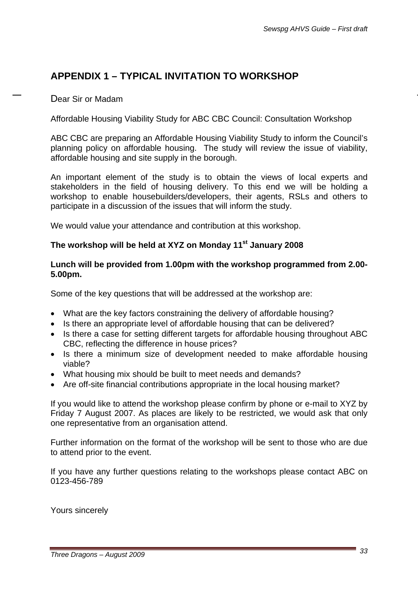# **APPENDIX 1 – TYPICAL INVITATION TO WORKSHOP**

# Dear Sir or Madam

Affordable Housing Viability Study for ABC CBC Council: Consultation Workshop

ABC CBC are preparing an Affordable Housing Viability Study to inform the Council's planning policy on affordable housing. The study will review the issue of viability, affordable housing and site supply in the borough.

An important element of the study is to obtain the views of local experts and stakeholders in the field of housing delivery. To this end we will be holding a workshop to enable housebuilders/developers, their agents, RSLs and others to participate in a discussion of the issues that will inform the study.

We would value your attendance and contribution at this workshop.

# **The workshop will be held at XYZ on Monday 11st January 2008**

### **Lunch will be provided from 1.00pm with the workshop programmed from 2.00- 5.00pm.**

Some of the key questions that will be addressed at the workshop are:

- What are the key factors constraining the delivery of affordable housing?
- Is there an appropriate level of affordable housing that can be delivered?
- Is there a case for setting different targets for affordable housing throughout ABC CBC, reflecting the difference in house prices?
- Is there a minimum size of development needed to make affordable housing viable?
- What housing mix should be built to meet needs and demands?
- Are off-site financial contributions appropriate in the local housing market?

If you would like to attend the workshop please confirm by phone or e-mail to XYZ by Friday 7 August 2007. As places are likely to be restricted, we would ask that only one representative from an organisation attend.

Further information on the format of the workshop will be sent to those who are due to attend prior to the event.

If you have any further questions relating to the workshops please contact ABC on 0123-456-789

Yours sincerely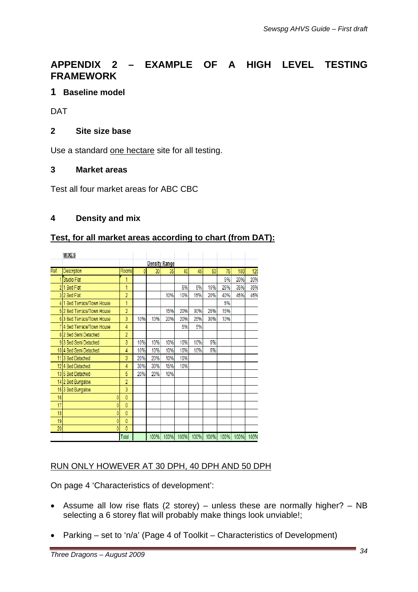# **APPENDIX 2 – EXAMPLE OF A HIGH LEVEL TESTING FRAMEWORK**

# **1 Baseline model**

DAT

# **2 Site size base**

Use a standard one hectare site for all testing.

#### **3 Market areas**

Test all four market areas for ABC CBC

### **4 Density and mix**

### **Test, for all market areas according to chart (from DAT):**

|      | <b>MIXES</b>               |                |     |     |                      |     |     |     |     |     |      |
|------|----------------------------|----------------|-----|-----|----------------------|-----|-----|-----|-----|-----|------|
|      |                            |                |     |     | <b>Density Range</b> |     |     |     |     |     |      |
| Ref. | Description                | Rooms          |     | 30  | 35 <sub>1</sub>      | 40  | 45  | 50  | 75  | 100 | 125  |
|      | Studio Flat                | 1              |     |     |                      |     |     |     | 5%  | 20% | 20%  |
| 2    | 1 Bed Flat                 | 1              |     |     |                      | 5%  | 5%  | 15% | 25% | 35% | 35%  |
|      | 32 Bed Flat                | $\overline{2}$ |     |     | 10%                  | 10% | 15% | 20% | 40% | 45% | 45%  |
|      | 4 1 Bed Terrace/Town House | 1              |     |     |                      |     |     |     | 5%  |     |      |
|      | 5 2 Bed Terrace/Town House | $\overline{2}$ |     |     | 15%                  | 20% | 30% | 25% | 15% |     |      |
|      | 6 3 Bed Terrace/Town House | 3              | 10% | 10% | 20%                  | 20% | 25% | 30% | 10% |     |      |
|      | 7 4 Bed Terrace/Town House | 4              |     |     |                      | 5%  | 5%  |     |     |     |      |
|      | 8 2 Bed Semi Detached      | $\overline{2}$ |     |     |                      |     |     |     |     |     |      |
|      | 9 3 Bed Semi Detached      | 3              | 10% | 10% | 10%                  | 10% | 10% | 5%  |     |     |      |
|      | 10 4 Bed Semi Detached     | 4              | 10% | 10% | 10%                  | 10% | 10% | 5%  |     |     |      |
|      | 11 3 Bed Detached          | 3              | 20% | 20% | 10%                  | 10% |     |     |     |     |      |
|      | 12 4 Bed Detached          | 4              | 30% | 30% | 15%                  | 10% |     |     |     |     |      |
|      | 13 5 Bed Detached          | 5              | 20% | 20% | 10%                  |     |     |     |     |     |      |
|      | 14 2 Bed Bungalow          | $\overline{2}$ |     |     |                      |     |     |     |     |     |      |
|      | 153 Bed Bungalow           | 3              |     |     |                      |     |     |     |     |     |      |
| 16   |                            | 0              |     |     |                      |     |     |     |     |     |      |
| 17   | ٥                          | 0              |     |     |                      |     |     |     |     |     |      |
| 18   |                            | 0              |     |     |                      |     |     |     |     |     |      |
| 19   | ٥                          | 0              |     |     |                      |     |     |     |     |     |      |
| 20   |                            | 0              |     |     |                      |     |     |     |     |     |      |
|      |                            | Total          |     |     |                      |     |     |     |     |     | 100% |

#### RUN ONLY HOWEVER AT 30 DPH, 40 DPH AND 50 DPH

On page 4 'Characteristics of development':

- Assume all low rise flats (2 storey) unless these are normally higher? NB selecting a 6 storey flat will probably make things look unviable!;
- Parking set to 'n/a' (Page 4 of Toolkit Characteristics of Development)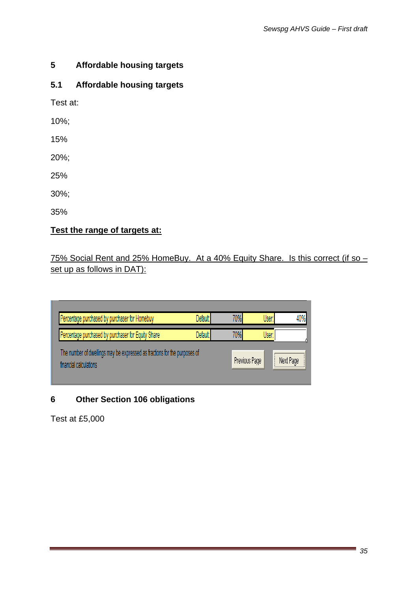# **5 Affordable housing targets**

# **5.1 Affordable housing targets**

Test at:

10%;

15%

20%;

25%

30%;

35%

# **Test the range of targets at:**

# 75% Social Rent and 25% HomeBuy. At a 40% Equity Share. Is this correct (if so – set up as follows in DAT):

| Percentage purchased by purchaser for Homebuy                                                       | Default              | 70% | <b>User</b>   | 40%       |
|-----------------------------------------------------------------------------------------------------|----------------------|-----|---------------|-----------|
| Percentage purchased by purchaser for Equity Share                                                  | Default <sup>*</sup> | 70% | <b>User</b>   |           |
| The number of dwellings may be expressed as fractions for the purposes of<br>financial calculations |                      |     | Previous Page | Next Page |

# **6 Other Section 106 obligations**

Test at £5,000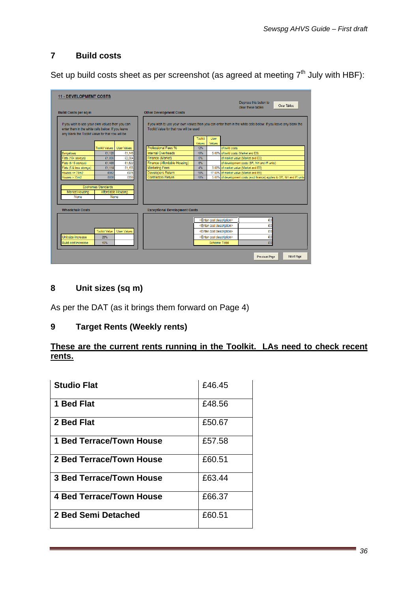# **7 Build costs**

Set up build costs sheet as per screenshot (as agreed at meeting  $7<sup>th</sup>$  July with HBF):

| <b>11 - DEVELOPMENT COSTS</b>                                                                                                                            |                                                         |                                                                                                                                                            |                                      |                |                                        |                                      | Depress this button to<br>clear these tables                             |    | Clear Tables |
|----------------------------------------------------------------------------------------------------------------------------------------------------------|---------------------------------------------------------|------------------------------------------------------------------------------------------------------------------------------------------------------------|--------------------------------------|----------------|----------------------------------------|--------------------------------------|--------------------------------------------------------------------------|----|--------------|
| <b>Build Costs per sq m</b>                                                                                                                              |                                                         |                                                                                                                                                            | <b>Other Development Costs</b>       |                |                                        |                                      |                                                                          |    |              |
| If you wish to use your own values then you can<br>enter them in the white cells below. If you leave<br>any blank the Toolkit Value for that row will be |                                                         | If you wish to use your own values then you can enter them in the white cells below. If you leave any blank the<br>Toolkit Value for that row will be used |                                      |                |                                        |                                      |                                                                          |    |              |
|                                                                                                                                                          |                                                         |                                                                                                                                                            |                                      | <b>Toolkit</b> | User                                   |                                      |                                                                          |    |              |
|                                                                                                                                                          | <b>Toolkit Values</b>                                   | <b>User Values</b>                                                                                                                                         | Professional Fees %                  | Values<br>12%  | Values                                 | of build costs                       |                                                                          |    |              |
| Bungalows                                                                                                                                                | £1,126                                                  | £1,145                                                                                                                                                     | Internal Overheads                   | 10%            |                                        | 5.00% of build costs (Market and ES) |                                                                          |    |              |
| Flats (16+ storeys)                                                                                                                                      | £1,836                                                  | £2,004                                                                                                                                                     | Finance (Market)                     | 6%             |                                        |                                      | of market value (Market and ES)                                          |    |              |
| Flats (6-15 storeys)                                                                                                                                     | £1,486                                                  | £1,622                                                                                                                                                     | Finance (Affordable Housing)         | 6%             |                                        |                                      | of development costs (SR, NH and IR units)                               |    |              |
| Flats (5 & less storeys)                                                                                                                                 | £1,114                                                  | £1,155                                                                                                                                                     | <b>Marketing Fees</b>                | 4%             |                                        |                                      | 3.00% of market value (Market and ES)                                    |    |              |
| Houses $\leq$ 75m2                                                                                                                                       | £952                                                    | £975                                                                                                                                                       | Developers Return                    | 15%            |                                        |                                      | 17.00% of market value (Market and ES)                                   |    |              |
| House > 75m2                                                                                                                                             | £836                                                    | £850                                                                                                                                                       | <b>Contractors Return</b>            | 10%            |                                        |                                      | 5.00% of development costs (excl finance) applies to SR, NH and IR units |    |              |
| Market Housing<br>None                                                                                                                                   | <b>Ecohomes Standards</b><br>Affordable Housing<br>None |                                                                                                                                                            |                                      |                |                                        |                                      |                                                                          |    |              |
| <b>Wheelchair Costs</b>                                                                                                                                  |                                                         |                                                                                                                                                            | <b>Exceptional Development Costs</b> |                |                                        |                                      |                                                                          |    |              |
|                                                                                                                                                          |                                                         |                                                                                                                                                            |                                      |                | <enter cost="" description=""></enter> |                                      |                                                                          | £0 |              |
|                                                                                                                                                          |                                                         |                                                                                                                                                            |                                      |                | <enter cost="" description=""></enter> |                                      |                                                                          | £0 |              |
|                                                                                                                                                          | <b>Toolkit Value</b>                                    | User Values                                                                                                                                                |                                      |                | <enter cost="" description=""></enter> |                                      |                                                                          | £0 |              |
| Unit size increase                                                                                                                                       | 25%                                                     |                                                                                                                                                            |                                      |                | <enter cost="" description=""></enter> |                                      |                                                                          | £0 |              |
|                                                                                                                                                          |                                                         |                                                                                                                                                            |                                      |                |                                        |                                      |                                                                          |    |              |
| <b>Build cost increase</b>                                                                                                                               | 15%                                                     |                                                                                                                                                            |                                      |                | <b>Scheme Total</b>                    |                                      |                                                                          | £0 |              |
|                                                                                                                                                          |                                                         |                                                                                                                                                            |                                      |                |                                        |                                      | Previous Page                                                            |    | Next Page    |

# **8 Unit sizes (sq m)**

As per the DAT (as it brings them forward on Page 4)

### **9 Target Rents (Weekly rents)**

# **These are the current rents running in the Toolkit. LAs need to check recent rents.**

| <b>Studio Flat</b>       | £46.45 |
|--------------------------|--------|
| 1 Bed Flat               | £48.56 |
| 2 Bed Flat               | £50.67 |
| 1 Bed Terrace/Town House | £57.58 |
| 2 Bed Terrace/Town House | £60.51 |
| 3 Bed Terrace/Town House | £63.44 |
| 4 Bed Terrace/Town House | £66.37 |
| 2 Bed Semi Detached      | £60.51 |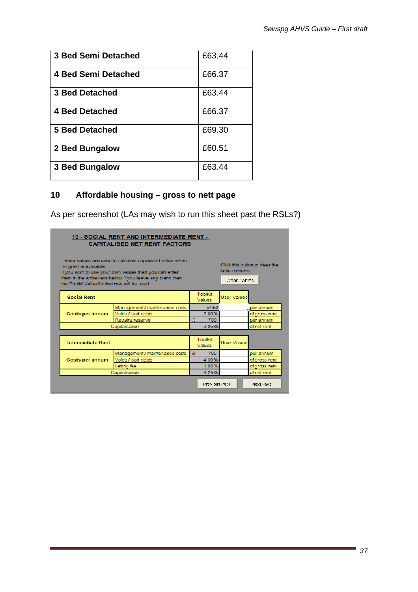| <b>3 Bed Semi Detached</b> | £63.44 |
|----------------------------|--------|
| <b>4 Bed Semi Detached</b> | £66.37 |
| <b>3 Bed Detached</b>      | £63.44 |
| 4 Bed Detached             | £66.37 |
| 5 Bed Detached             | £69.30 |
| 2 Bed Bungalow             | £60.51 |
| <b>3 Bed Bungalow</b>      | £63.44 |

#### **10 Affordable housing – gross to nett page**

As per screenshot (LAs may wish to run this sheet past the RSLs?)

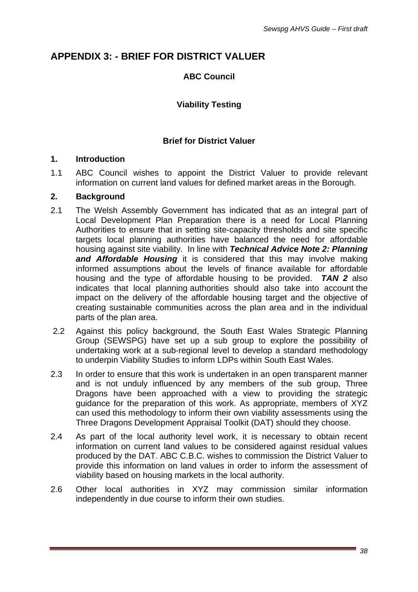# **APPENDIX 3: - BRIEF FOR DISTRICT VALUER**

# **ABC Council**

# **Viability Testing**

### **Brief for District Valuer**

#### **1. Introduction**

1.1 ABC Council wishes to appoint the District Valuer to provide relevant information on current land values for defined market areas in the Borough.

#### **2. Background**

- 2.1 The Welsh Assembly Government has indicated that as an integral part of Local Development Plan Preparation there is a need for Local Planning Authorities to ensure that in setting site-capacity thresholds and site specific targets local planning authorities have balanced the need for affordable housing against site viability. In line with *Technical Advice Note 2: Planning and Affordable Housing* it is considered that this may involve making informed assumptions about the levels of finance available for affordable housing and the type of affordable housing to be provided. *TAN 2* also indicates that local planning authorities should also take into account the impact on the delivery of the affordable housing target and the objective of creating sustainable communities across the plan area and in the individual parts of the plan area.
- 2.2 Against this policy background, the South East Wales Strategic Planning Group (SEWSPG) have set up a sub group to explore the possibility of undertaking work at a sub-regional level to develop a standard methodology to underpin Viability Studies to inform LDPs within South East Wales.
- 2.3 In order to ensure that this work is undertaken in an open transparent manner and is not unduly influenced by any members of the sub group, Three Dragons have been approached with a view to providing the strategic guidance for the preparation of this work. As appropriate, members of XYZ can used this methodology to inform their own viability assessments using the Three Dragons Development Appraisal Toolkit (DAT) should they choose.
- 2.4 As part of the local authority level work, it is necessary to obtain recent information on current land values to be considered against residual values produced by the DAT. ABC C.B.C. wishes to commission the District Valuer to provide this information on land values in order to inform the assessment of viability based on housing markets in the local authority.
- 2.6 Other local authorities in XYZ may commission similar information independently in due course to inform their own studies.